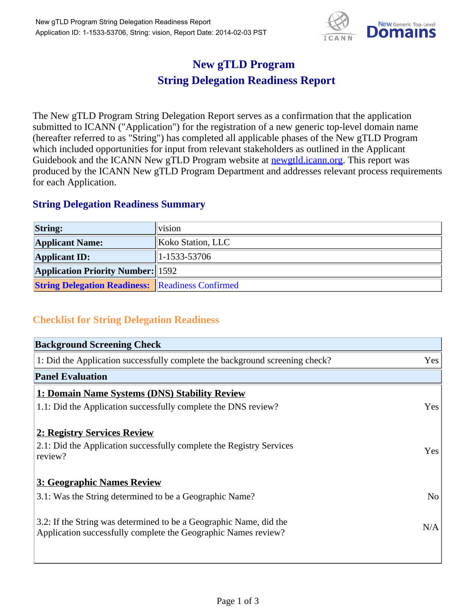

## **New gTLD Program String Delegation Readiness Report**

The New gTLD Program String Delegation Report serves as a confirmation that the application submitted to ICANN ("Application") for the registration of a new generic top-level domain name (hereafter referred to as "String") has completed all applicable phases of the New gTLD Program which included opportunities for input from relevant stakeholders as outlined in the Applicant Guidebook and the ICANN New gTLD Program website at **newgtld.jcann.org**. This report was produced by the ICANN New gTLD Program Department and addresses relevant process requirements for each Application.

## **String Delegation Readiness Summary**

| <b>String:</b>                                          | <b>Vision</b>     |
|---------------------------------------------------------|-------------------|
| <b>Applicant Name:</b>                                  | Koko Station, LLC |
| <b>Applicant ID:</b>                                    | 1-1533-53706      |
| <b>Application Priority Number:</b> 1592                |                   |
| <b>String Delegation Readiness: Readiness Confirmed</b> |                   |

## **Checklist for String Delegation Readiness**

| <b>Background Screening Check</b>                                               |                |
|---------------------------------------------------------------------------------|----------------|
| 1: Did the Application successfully complete the background screening check?    | Yes            |
| <b>Panel Evaluation</b>                                                         |                |
| 1: Domain Name Systems (DNS) Stability Review                                   |                |
| 1.1: Did the Application successfully complete the DNS review?                  | Yes            |
| 2: Registry Services Review                                                     |                |
|                                                                                 |                |
| 2.1: Did the Application successfully complete the Registry Services<br>review? | <b>Yes</b>     |
|                                                                                 |                |
| 3: Geographic Names Review                                                      |                |
| 3.1: Was the String determined to be a Geographic Name?                         | N <sub>0</sub> |
| 3.2: If the String was determined to be a Geographic Name, did the              |                |
| Application successfully complete the Geographic Names review?                  | N/A            |
|                                                                                 |                |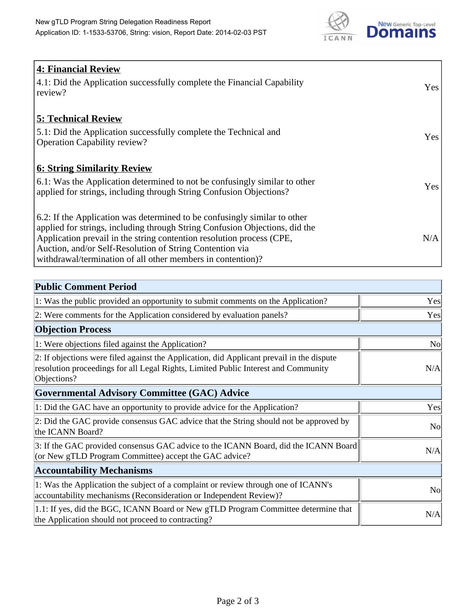

| <b>4: Financial Review</b><br>$\vert$ 4.1: Did the Application successfully complete the Financial Capability<br>review?                                                                                                                                                                                                                                     | <b>Yes</b> |
|--------------------------------------------------------------------------------------------------------------------------------------------------------------------------------------------------------------------------------------------------------------------------------------------------------------------------------------------------------------|------------|
| <b>5: Technical Review</b><br>5.1: Did the Application successfully complete the Technical and<br><b>Operation Capability review?</b>                                                                                                                                                                                                                        | Yes        |
| <b>6: String Similarity Review</b><br>$\vert$ 6.1: Was the Application determined to not be confusingly similar to other<br>applied for strings, including through String Confusion Objections?                                                                                                                                                              | <b>Yes</b> |
| 6.2: If the Application was determined to be confusingly similar to other<br>applied for strings, including through String Confusion Objections, did the<br>Application prevail in the string contention resolution process (CPE,<br>Auction, and/or Self-Resolution of String Contention via<br>withdrawal/termination of all other members in contention)? | N/A        |

| <b>Public Comment Period</b>                                                                                                                                                                   |                |
|------------------------------------------------------------------------------------------------------------------------------------------------------------------------------------------------|----------------|
| 1: Was the public provided an opportunity to submit comments on the Application?                                                                                                               | Yes            |
| 2: Were comments for the Application considered by evaluation panels?                                                                                                                          | Yes            |
| <b>Objection Process</b>                                                                                                                                                                       |                |
| 1: Were objections filed against the Application?                                                                                                                                              | <b>No</b>      |
| 2: If objections were filed against the Application, did Applicant prevail in the dispute<br>resolution proceedings for all Legal Rights, Limited Public Interest and Community<br>Objections? | N/A            |
| Governmental Advisory Committee (GAC) Advice                                                                                                                                                   |                |
| 1: Did the GAC have an opportunity to provide advice for the Application?                                                                                                                      | Yes            |
| 2: Did the GAC provide consensus GAC advice that the String should not be approved by<br>the ICANN Board?                                                                                      | N <sub>0</sub> |
| 3: If the GAC provided consensus GAC advice to the ICANN Board, did the ICANN Board<br>(or New gTLD Program Committee) accept the GAC advice?                                                  | N/A            |
| <b>Accountability Mechanisms</b>                                                                                                                                                               |                |
| 1: Was the Application the subject of a complaint or review through one of ICANN's<br>accountability mechanisms (Reconsideration or Independent Review)?                                       | N <sub>o</sub> |
| 1.1: If yes, did the BGC, ICANN Board or New gTLD Program Committee determine that<br>the Application should not proceed to contracting?                                                       | N/A            |